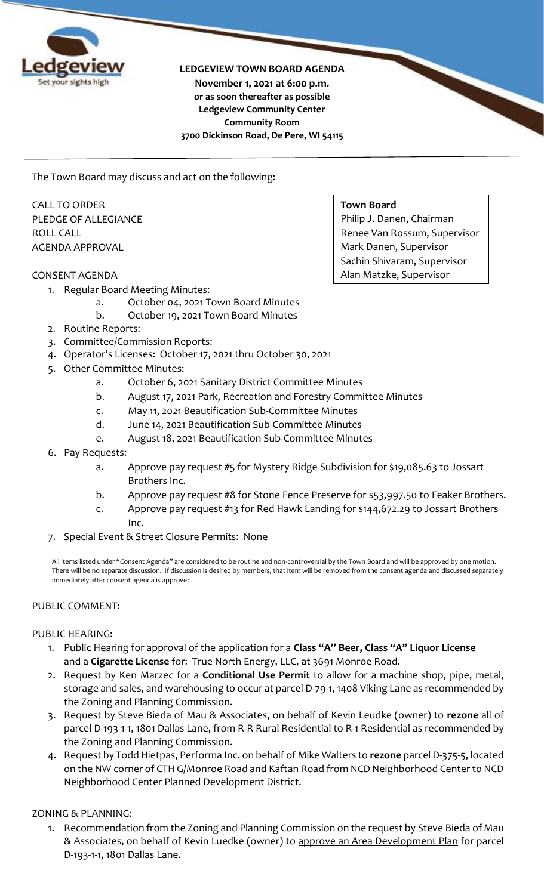

**LEDGEVIEW TOWN BOARD AGENDA**

**November 1, 2021 at 6:00 p.m. or as soon thereafter as possible Ledgeview Community Center Community Room 3700 Dickinson Road, De Pere, WI 54115**

The Town Board may discuss and act on the following:

CALL TO ORDER PLEDGE OF ALLEGIANCE ROLL CALL AGENDA APPROVAL

#### CONSENT AGENDA

- 1. Regular Board Meeting Minutes:
	- a. October 04, 2021 Town Board Minutes
	- b. October 19, 2021 Town Board Minutes
- 2. Routine Reports:
- 3. Committee/Commission Reports:
- 4. Operator's Licenses: October 17, 2021 thru October 30, 2021
- 5. Other Committee Minutes:
	- a. October 6, 2021 Sanitary District Committee Minutes
	- b. August 17, 2021 Park, Recreation and Forestry Committee Minutes
	- c. May 11, 2021 Beautification Sub-Committee Minutes
	- d. June 14, 2021 Beautification Sub-Committee Minutes
	- e. August 18, 2021 Beautification Sub-Committee Minutes
- 6. Pay Requests:
	- a. Approve pay request #5 for Mystery Ridge Subdivision for \$19,085.63 to Jossart Brothers Inc.
	- b. Approve pay request #8 for Stone Fence Preserve for \$53,997.50 to Feaker Brothers.
	- c. Approve pay request #13 for Red Hawk Landing for \$144,672.29 to Jossart Brothers Inc.
- 7. Special Event & Street Closure Permits: None

All items listed under "Consent Agenda" are considered to be routine and non-controversial by the Town Board and will be approved by one motion. There will be no separate discussion. If discussion is desired by members, that item will be removed from the consent agenda and discussed separately immediately after consent agenda is approved.

## PUBLIC COMMENT:

## PUBLIC HEARING:

- 1. Public Hearing for approval of the application for a **Class "A" Beer, Class "A" Liquor License**  and a **Cigarette License** for: True North Energy, LLC, at 3691 Monroe Road.
- 2. Request by Ken Marzec for a **Conditional Use Permit** to allow for a machine shop, pipe, metal, storage and sales, and warehousing to occur at parcel D-79-1, 1408 Viking Lane as recommended by the Zoning and Planning Commission.
- 3. Request by Steve Bieda of Mau & Associates, on behalf of Kevin Leudke (owner) to **rezone** all of parcel D-193-1-1, 1801 Dallas Lane, from R-R Rural Residential to R-1 Residential as recommended by the Zoning and Planning Commission.
- 4. Request by Todd Hietpas, Performa Inc. on behalf of Mike Walters to **rezone** parcel D-375-5, located on the <u>NW corner of CTH G/Monroe</u> Road and Kaftan Road from NCD Neighborhood Center to NCD Neighborhood Center Planned Development District.

## ZONING & PLANNING:

1. Recommendation from the Zoning and Planning Commission on the request by Steve Bieda of Mau & Associates, on behalf of Kevin Luedke (owner) to approve an Area Development Plan for parcel D-193-1-1, 1801 Dallas Lane.

#### **Town Board**

Philip J. Danen, Chairman Renee Van Rossum, Supervisor Mark Danen, Supervisor Sachin Shivaram, Supervisor Alan Matzke, Supervisor